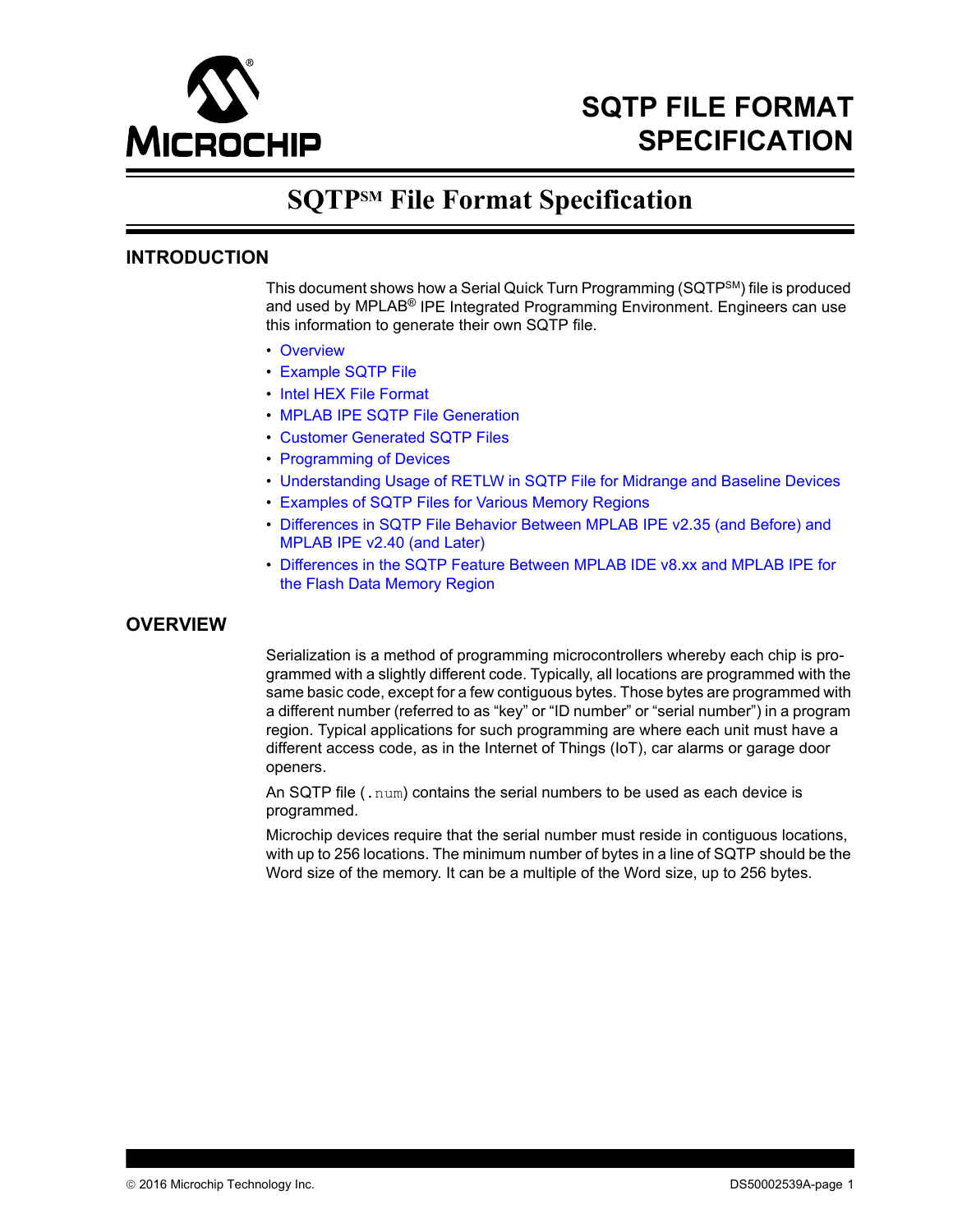

# **SQTP FILE FORMAT SPECIFICATION**

# **SQTPSM File Format Specification**

## **INTRODUCTION**

This document shows how a Serial Quick Turn Programming (SQTP<sup>SM</sup>) file is produced and used by MPLAB<sup>®</sup> IPE Integrated Programming Environment. Engineers can use this information to generate their own SQTP file.

- [Overview](#page-0-0)
- [Example SQTP File](#page-1-0)
- [Intel HEX File Format](#page-2-0)
- MPLAB IPE SOTP File Generation
- [Customer Generated SQTP Files](#page-5-0)
- [Programming of Devices](#page-6-0)
- [Understanding Usage of RETLW in SQTP File for Midrange and Baseline Devices](#page-7-0)
- [Examples of SQTP Files for Various Memory Regions](#page-9-0)
- [Differences in SQTP File Behavior Between MPLAB IPE v2.35 \(and Before\) and](#page-11-0)  [MPLAB IPE v2.40 \(and Later\)](#page-11-0)
- [Differences in the SQTP Feature Between MPLAB IDE v8.xx and MPLAB IPE for](#page-14-0)  [the Flash Data Memory Region](#page-14-0)

## <span id="page-0-0"></span>**OVERVIEW**

Serialization is a method of programming microcontrollers whereby each chip is programmed with a slightly different code. Typically, all locations are programmed with the same basic code, except for a few contiguous bytes. Those bytes are programmed with a different number (referred to as "key" or "ID number" or "serial number") in a program region. Typical applications for such programming are where each unit must have a different access code, as in the Internet of Things (IoT), car alarms or garage door openers.

An SQTP file (.num) contains the serial numbers to be used as each device is programmed.

Microchip devices require that the serial number must reside in contiguous locations, with up to 256 locations. The minimum number of bytes in a line of SQTP should be the Word size of the memory. It can be a multiple of the Word size, up to 256 bytes.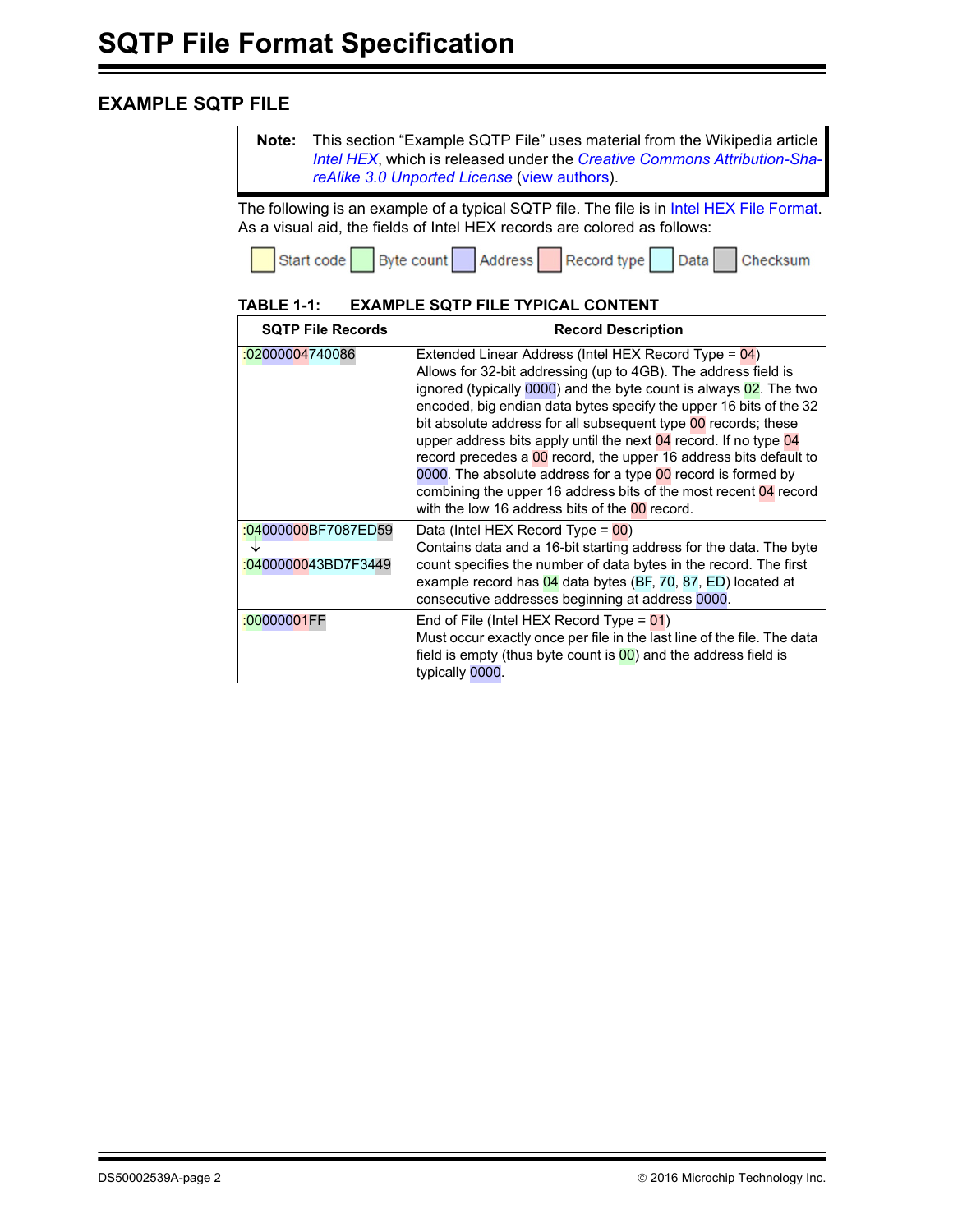## <span id="page-1-0"></span>**EXAMPLE SQTP FILE**

<span id="page-1-1"></span>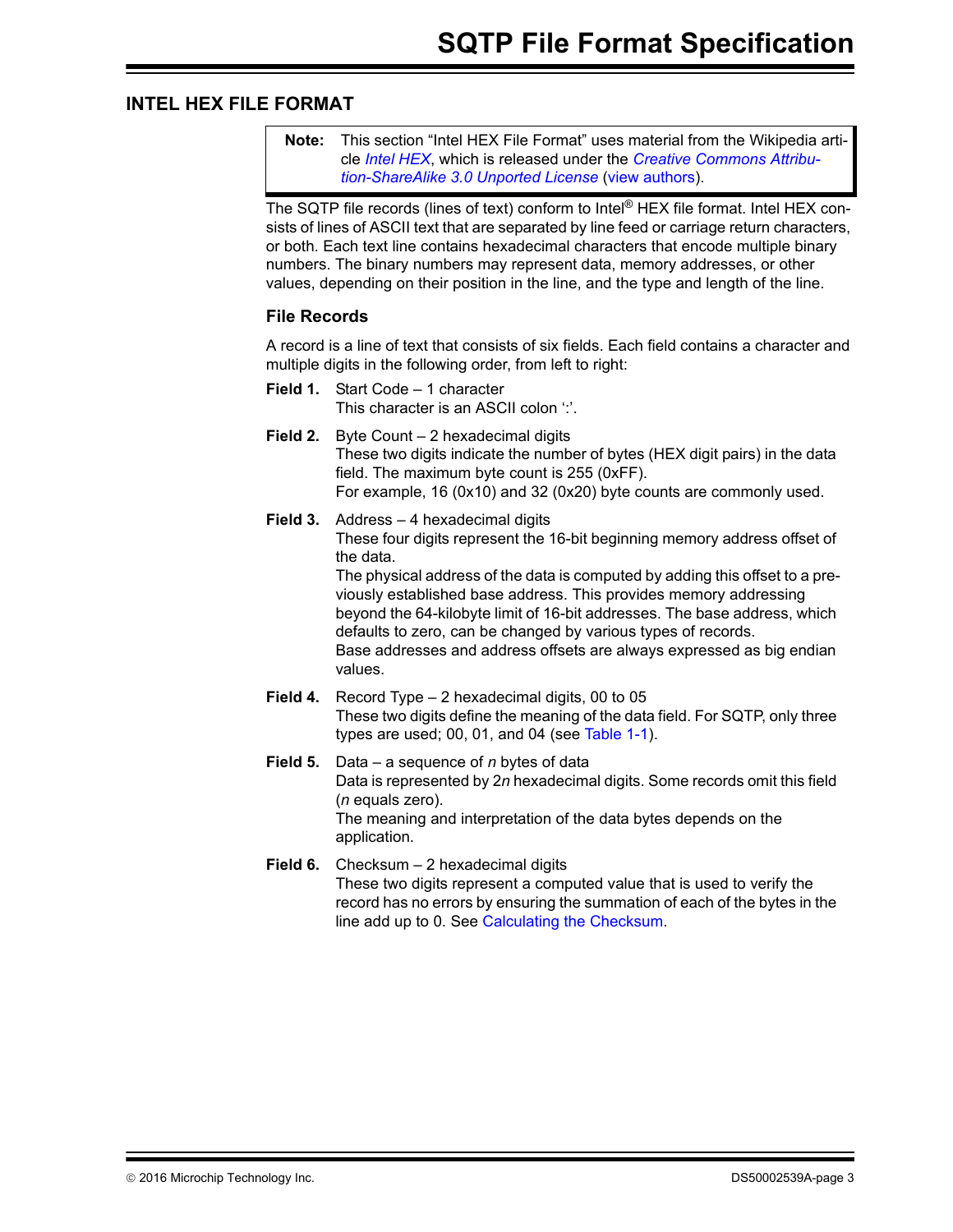## <span id="page-2-0"></span>**INTEL HEX FILE FORMAT**

**Note:** This section "Intel HEX File Format" uses material from the Wikipedia article *[Intel HEX](https://en.wikipedia.org/wiki/Intel_HEX)*, which is released under the *[Creative Commons Attribu](https://en.wikipedia.org/wiki/Wikipedia:Text_of_Creative_Commons_Attribution-ShareAlike_3.0_Unported_License)[tion-ShareAlike 3.0 Unported License](https://en.wikipedia.org/wiki/Wikipedia:Text_of_Creative_Commons_Attribution-ShareAlike_3.0_Unported_License)* ([view authors\)](https://en.wikipedia.org/w/index.php?title=Intel_HEX&action=history).

The SQTP file records (lines of text) conform to Intel® HEX file format. Intel HEX consists of lines of ASCII text that are separated by line feed or carriage return characters, or both. Each text line contains hexadecimal characters that encode multiple binary numbers. The binary numbers may represent data, memory addresses, or other values, depending on their position in the line, and the type and length of the line.

### **File Records**

A record is a line of text that consists of six fields. Each field contains a character and multiple digits in the following order, from left to right:

- **Field 1.** Start Code 1 character This character is an ASCII colon ':'.
- **Field 2.** Byte Count 2 hexadecimal digits These two digits indicate the number of bytes (HEX digit pairs) in the data field. The maximum byte count is 255 (0xFF). For example, 16 (0x10) and 32 (0x20) byte counts are commonly used.
- **Field 3.** Address 4 hexadecimal digits These four digits represent the 16-bit beginning memory address offset of the data. The physical address of the data is computed by adding this offset to a previously established base address. This provides memory addressing beyond the 64-kilobyte limit of 16-bit addresses. The base address, which defaults to zero, can be changed by various types of records. Base addresses and address offsets are always expressed as big endian values.
- **Field 4.** Record Type 2 hexadecimal digits, 00 to 05 These two digits define the meaning of the data field. For SQTP, only three types are used; 00, 01, and 04 (see [Table 1-1\)](#page-1-1).
- **Field 5.** Data a sequence of *n* bytes of data Data is represented by 2*n* hexadecimal digits. Some records omit this field (*n* equals zero). The meaning and interpretation of the data bytes depends on the application.
- **Field 6.** Checksum 2 hexadecimal digits These two digits represent a computed value that is used to verify the record has no errors by ensuring the summation of each of the bytes in the line add up to 0. See [Calculating the Checksum](#page-3-0).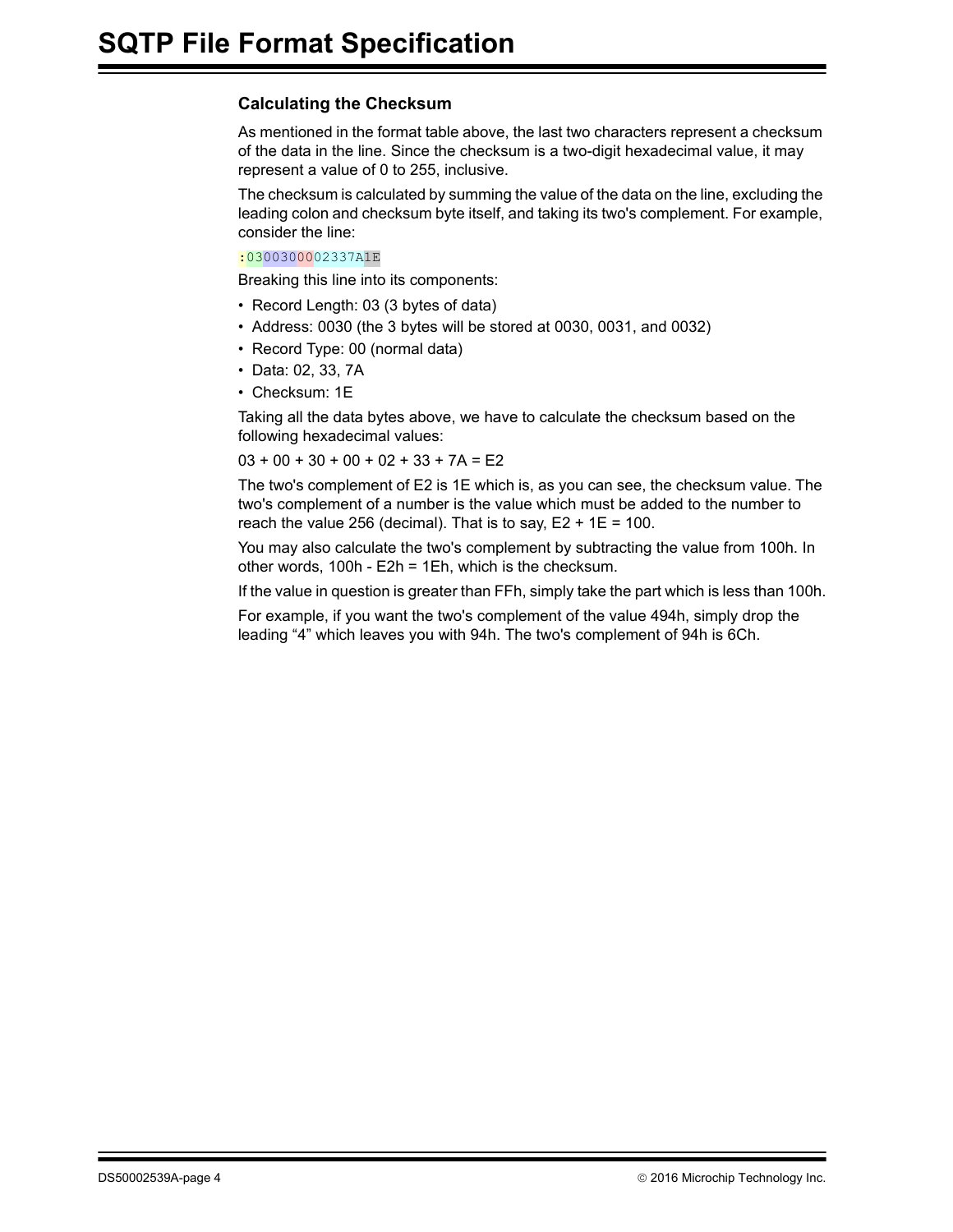## <span id="page-3-0"></span>**Calculating the Checksum**

As mentioned in the format table above, the last two characters represent a checksum of the data in the line. Since the checksum is a two-digit hexadecimal value, it may represent a value of 0 to 255, inclusive.

The checksum is calculated by summing the value of the data on the line, excluding the leading colon and checksum byte itself, and taking its two's complement. For example, consider the line:

#### :0300300002337A1E

Breaking this line into its components:

- Record Length: 03 (3 bytes of data)
- Address: 0030 (the 3 bytes will be stored at 0030, 0031, and 0032)
- Record Type: 00 (normal data)
- Data: 02, 33, 7A
- Checksum: 1E

Taking all the data bytes above, we have to calculate the checksum based on the following hexadecimal values:

 $03 + 00 + 30 + 00 + 02 + 33 + 7A = E2$ 

The two's complement of E2 is 1E which is, as you can see, the checksum value. The two's complement of a number is the value which must be added to the number to reach the value 256 (decimal). That is to say,  $E2 + 1E = 100$ .

You may also calculate the two's complement by subtracting the value from 100h. In other words, 100h - E2h = 1Eh, which is the checksum.

If the value in question is greater than FFh, simply take the part which is less than 100h.

For example, if you want the two's complement of the value 494h, simply drop the leading "4" which leaves you with 94h. The two's complement of 94h is 6Ch.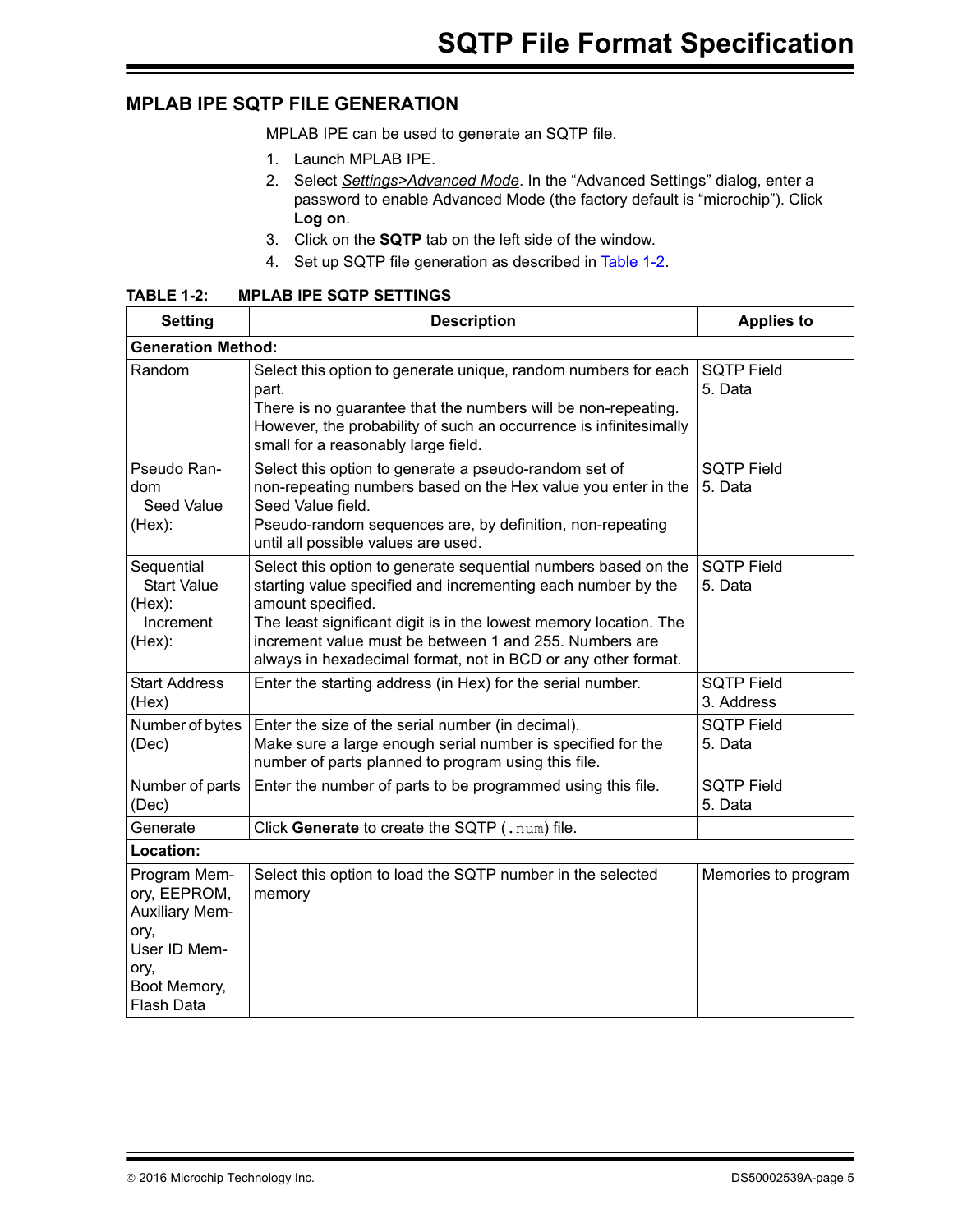## <span id="page-4-0"></span>**MPLAB IPE SQTP FILE GENERATION**

MPLAB IPE can be used to generate an SQTP file.

- 1. Launch MPLAB IPE.
- 2. Select *Settings>Advanced Mode*. In the "Advanced Settings" dialog, enter a password to enable Advanced Mode (the factory default is "microchip"). Click **Log on**.
- 3. Click on the **SQTP** tab on the left side of the window.
- 4. Set up SQTP file generation as described in [Table 1-2](#page-4-1).

<span id="page-4-1"></span>

|  | <b>TABLE 1-2:</b> | <b>MPLAB IPE SQTP SETTINGS</b> |  |
|--|-------------------|--------------------------------|--|
|--|-------------------|--------------------------------|--|

| <b>Setting</b>                                                                                                             | <b>Description</b>                                                                                                                                                                                                                                                                                                                                  | <b>Applies to</b>               |
|----------------------------------------------------------------------------------------------------------------------------|-----------------------------------------------------------------------------------------------------------------------------------------------------------------------------------------------------------------------------------------------------------------------------------------------------------------------------------------------------|---------------------------------|
| <b>Generation Method:</b>                                                                                                  |                                                                                                                                                                                                                                                                                                                                                     |                                 |
| Random                                                                                                                     | Select this option to generate unique, random numbers for each<br>part.<br>There is no guarantee that the numbers will be non-repeating.<br>However, the probability of such an occurrence is infinitesimally<br>small for a reasonably large field.                                                                                                | <b>SQTP Field</b><br>5. Data    |
| Pseudo Ran-<br>dom<br>Seed Value<br>(Hex):                                                                                 | Select this option to generate a pseudo-random set of<br>non-repeating numbers based on the Hex value you enter in the<br>Seed Value field.<br>Pseudo-random sequences are, by definition, non-repeating<br>until all possible values are used.                                                                                                     | <b>SQTP Field</b><br>5. Data    |
| Sequential<br><b>Start Value</b><br>(Hex):<br>Increment<br>(Hex):                                                          | Select this option to generate sequential numbers based on the<br>starting value specified and incrementing each number by the<br>amount specified.<br>The least significant digit is in the lowest memory location. The<br>increment value must be between 1 and 255. Numbers are<br>always in hexadecimal format, not in BCD or any other format. | <b>SQTP Field</b><br>5. Data    |
| <b>Start Address</b><br>(Hex)                                                                                              | Enter the starting address (in Hex) for the serial number.                                                                                                                                                                                                                                                                                          | <b>SQTP Field</b><br>3. Address |
| Number of bytes<br>(Dec)                                                                                                   | Enter the size of the serial number (in decimal).<br>Make sure a large enough serial number is specified for the<br>number of parts planned to program using this file.                                                                                                                                                                             | <b>SQTP Field</b><br>5. Data    |
| Number of parts<br>(Dec)                                                                                                   | Enter the number of parts to be programmed using this file.                                                                                                                                                                                                                                                                                         | <b>SQTP Field</b><br>5. Data    |
| Generate                                                                                                                   | Click Generate to create the SQTP (. num) file.                                                                                                                                                                                                                                                                                                     |                                 |
| Location:                                                                                                                  |                                                                                                                                                                                                                                                                                                                                                     |                                 |
| Program Mem-<br>ory, EEPROM,<br><b>Auxiliary Mem-</b><br>ory,<br>User ID Mem-<br>ory,<br>Boot Memory,<br><b>Flash Data</b> | Select this option to load the SQTP number in the selected<br>memory                                                                                                                                                                                                                                                                                | Memories to program             |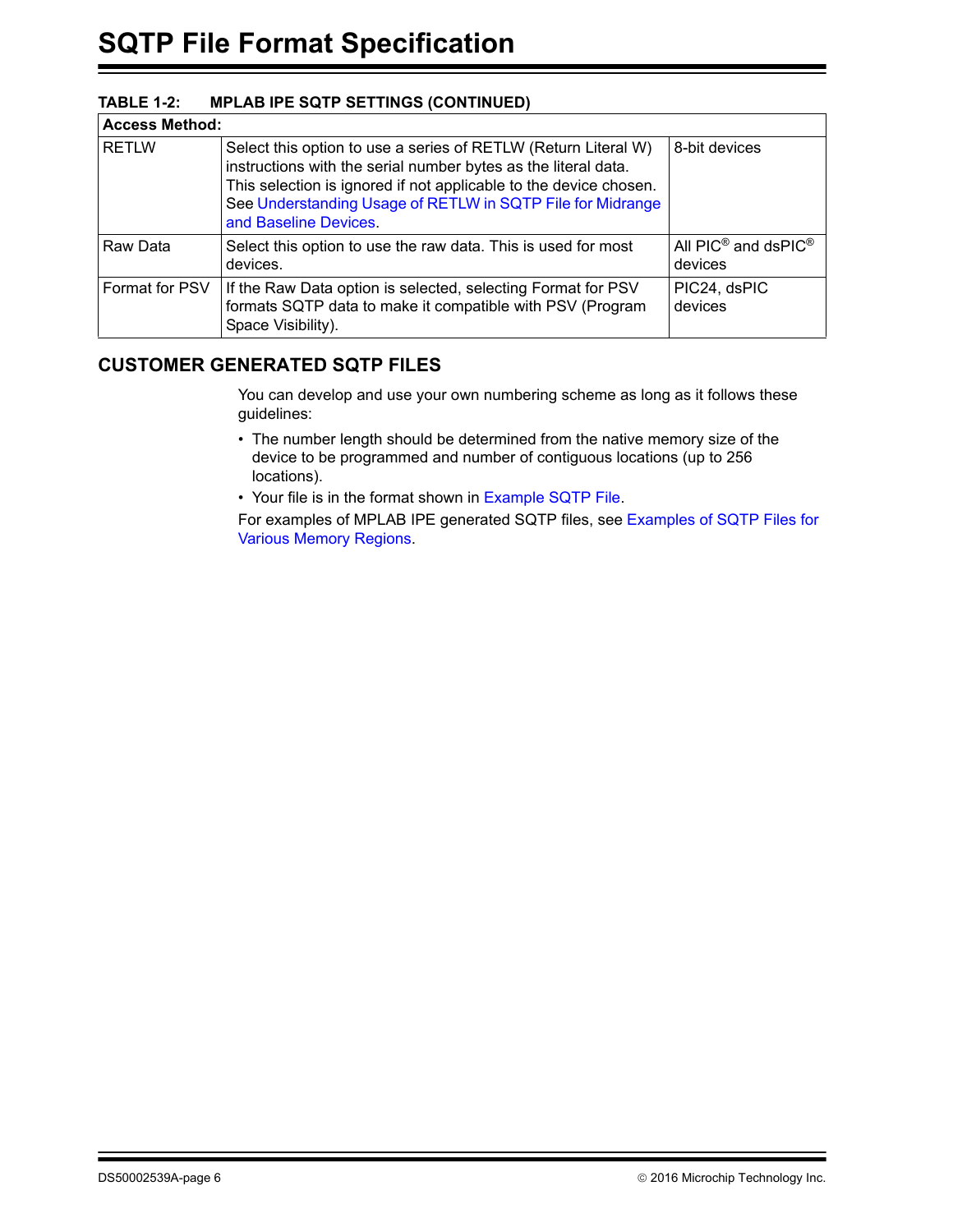## **TABLE 1-2: MPLAB IPE SQTP SETTINGS (CONTINUED)**

| <b>Access Method:</b> |                                                                                                                                                                                                                                                                                              |                                                                                 |
|-----------------------|----------------------------------------------------------------------------------------------------------------------------------------------------------------------------------------------------------------------------------------------------------------------------------------------|---------------------------------------------------------------------------------|
| <b>RETLW</b>          | Select this option to use a series of RETLW (Return Literal W)<br>instructions with the serial number bytes as the literal data.<br>This selection is ignored if not applicable to the device chosen.<br>See Understanding Usage of RETLW in SQTP File for Midrange<br>and Baseline Devices. | 8-bit devices                                                                   |
| Raw Data              | Select this option to use the raw data. This is used for most<br>devices.                                                                                                                                                                                                                    | All $\mathsf{PIC}^{\circledast}$ and ds $\mathsf{PIC}^{\circledast}$<br>devices |
| Format for PSV        | If the Raw Data option is selected, selecting Format for PSV<br>formats SQTP data to make it compatible with PSV (Program<br>Space Visibility).                                                                                                                                              | PIC24, dsPIC<br>devices                                                         |

## <span id="page-5-0"></span>**CUSTOMER GENERATED SQTP FILES**

You can develop and use your own numbering scheme as long as it follows these guidelines:

- The number length should be determined from the native memory size of the device to be programmed and number of contiguous locations (up to 256 locations).
- Your file is in the format shown in [Example SQTP File.](#page-1-0)

For examples of MPLAB IPE generated SQTP files, see [Examples of SQTP Files for](#page-9-0)  [Various Memory Regions](#page-9-0).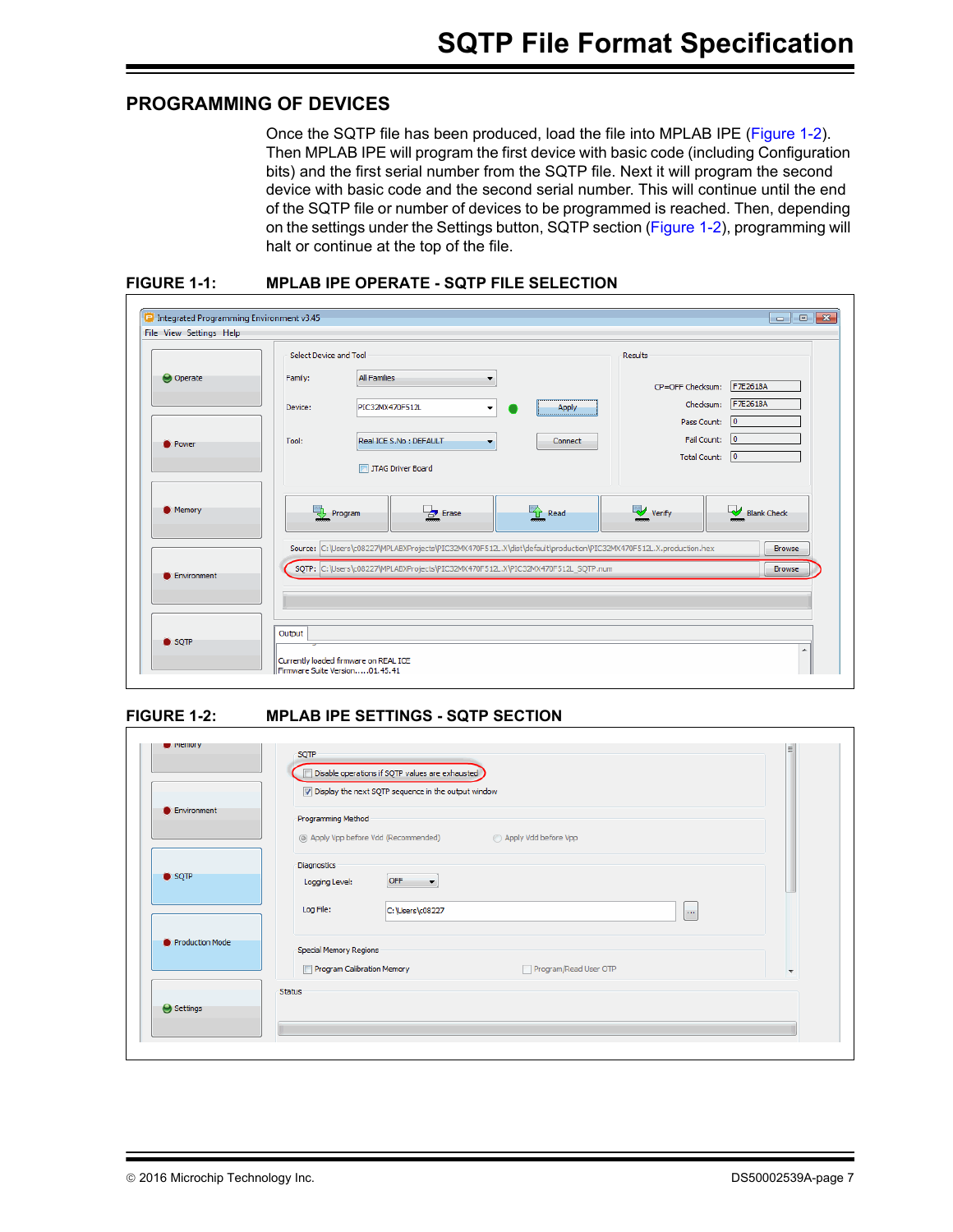## <span id="page-6-0"></span>**PROGRAMMING OF DEVICES**

Once the SQTP file has been produced, load the file into MPLAB IPE ([Figure 1-2](#page-4-1)). Then MPLAB IPE will program the first device with basic code (including Configuration bits) and the first serial number from the SQTP file. Next it will program the second device with basic code and the second serial number. This will continue until the end of the SQTP file or number of devices to be programmed is reached. Then, depending on the settings under the Settings button, SQTP section [\(Figure 1-2\)](#page-6-1), programming will halt or continue at the top of the file.

### **FIGURE 1-1: MPLAB IPE OPERATE - SQTP FILE SELECTION**

|                      | Select Device and Tool |                                                                                                                                                                                                      |             | Results                                           |                                |
|----------------------|------------------------|------------------------------------------------------------------------------------------------------------------------------------------------------------------------------------------------------|-------------|---------------------------------------------------|--------------------------------|
| O Operate            | Family:<br>Device:     | <b>All Families</b><br>۰<br>PIC32MX470F512L<br>۰                                                                                                                                                     | Apply       | CP=OFF Checksum:<br>Checksum:                     | F7E2618A<br>F7E2618A           |
| <b>O</b> Power       | Tool:                  | Real ICE S.No : DEFAULT<br>JTAG Driver Board                                                                                                                                                         | Connect     | Pass Count:<br>Fail Count:<br><b>Total Count:</b> | I٥<br>10<br>$ 0\rangle$        |
| <b>Memory</b>        |                        | Program<br><b>B</b> Erase                                                                                                                                                                            | <b>Read</b> | $\overline{\mathbf{v}}$ Verify                    | Blank Check                    |
| <b>C</b> Environment |                        | Source: C:\Users\c08227\MPLABXProjects\PIC32MX470F512L.X\dist\default\production\PIC32MX470F512L.X.production.hex<br>SQTP: C:\Users\c08227\MPLABXProjects\PIC32MX470F512L.X\PIC32MX470F512L_SQTP.num |             |                                                   | <b>Browse</b><br><b>Browse</b> |
| $\bullet$ sq $TP$    | Output                 |                                                                                                                                                                                                      |             |                                                   |                                |

## <span id="page-6-1"></span>**FIGURE 1-2: MPLAB IPE SETTINGS - SQTP SECTION**

| C Environment            | Display the next SQTP sequence in the output window                                 |                          |
|--------------------------|-------------------------------------------------------------------------------------|--------------------------|
|                          | Programming Method<br>◎ Apply Vpp before Vdd (Recommended) ● △ Apply Vdd before Vpp |                          |
|                          |                                                                                     |                          |
| SQTP                     | Diagnostics<br>OFF<br>Logging Level:<br>$\overline{\phantom{a}}$                    |                          |
|                          |                                                                                     |                          |
|                          | Log File:<br>C:\Users\c08227<br>$\cdots$                                            |                          |
| <b>O</b> Production Mode | <b>Special Memory Regions</b>                                                       |                          |
|                          | Program Calibration Memory<br>Program/Read User OTP                                 | $\overline{\phantom{a}}$ |
|                          | Status                                                                              |                          |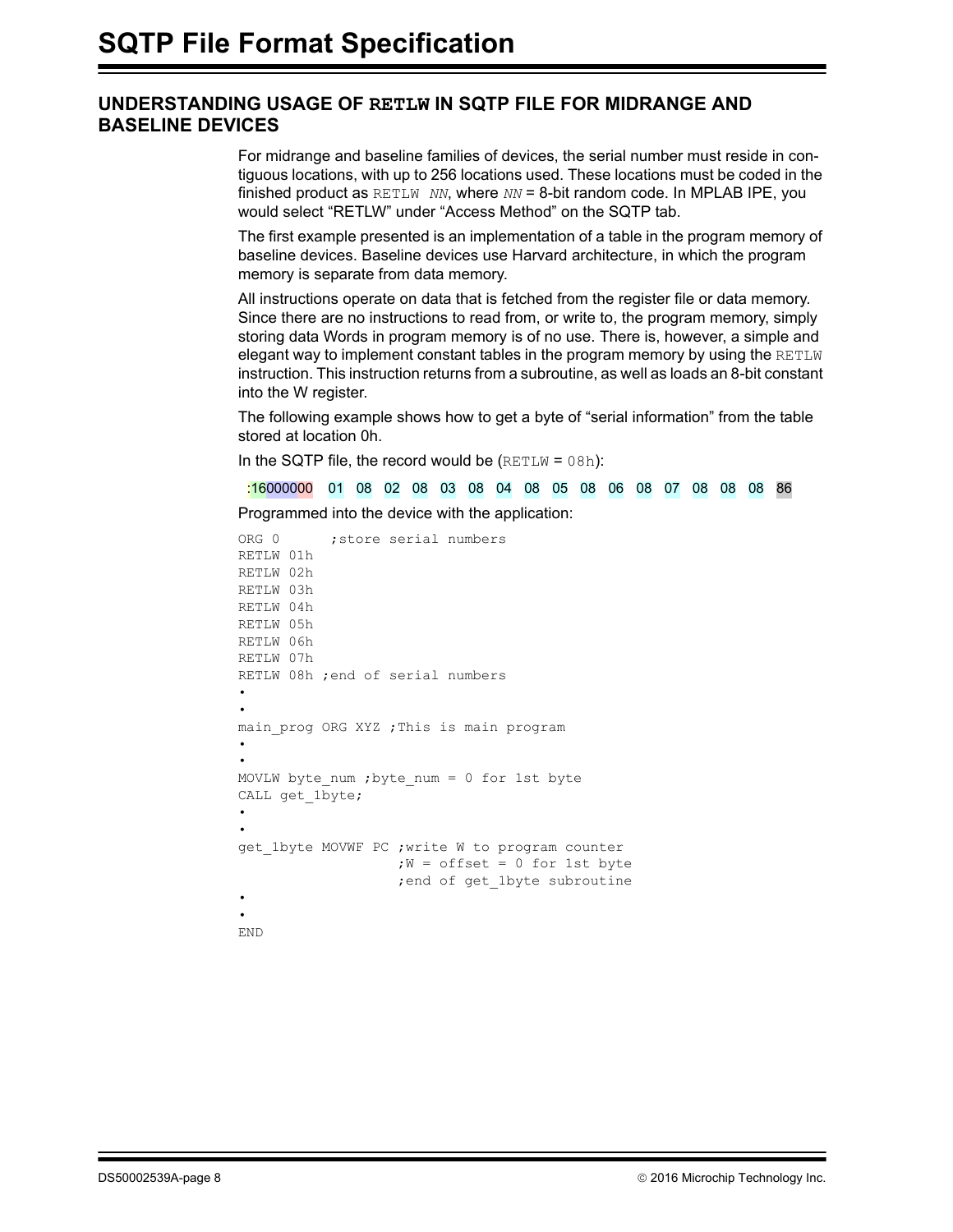## <span id="page-7-0"></span>**UNDERSTANDING USAGE OF RETLW IN SQTP FILE FOR MIDRANGE AND BASELINE DEVICES**

For midrange and baseline families of devices, the serial number must reside in contiguous locations, with up to 256 locations used. These locations must be coded in the finished product as RETLW *NN*, where *NN* = 8-bit random code. In MPLAB IPE, you would select "RETLW" under "Access Method" on the SQTP tab.

The first example presented is an implementation of a table in the program memory of baseline devices. Baseline devices use Harvard architecture, in which the program memory is separate from data memory.

All instructions operate on data that is fetched from the register file or data memory. Since there are no instructions to read from, or write to, the program memory, simply storing data Words in program memory is of no use. There is, however, a simple and elegant way to implement constant tables in the program memory by using the RETLW instruction. This instruction returns from a subroutine, as well as loads an 8-bit constant into the W register.

The following example shows how to get a byte of "serial information" from the table stored at location 0h.

In the SQTP file, the record would be  $(RETLW = 08h)$ :

:16000000 01 08 02 08 03 08 04 08 05 08 06 08 07 08 08 08 86

Programmed into the device with the application:

```
ORG 0 ; store serial numbers
RETLW 01h
RETLW 02h
RETLW 03h
RETLW 04h
RETLW 05h
RETLW 06h
RETLW 07h
RETLW 08h ;end of serial numbers
•
•
main prog ORG XYZ ; This is main program
•
•
MOVLW byte_num ;byte_num = 0 for 1st byte
CALL get_1byte;
•
•
get 1byte MOVWF PC ; write W to program counter
                    ;W = offset = 0 for 1st byte
                   ; end of get 1byte subroutine
•
•
END
```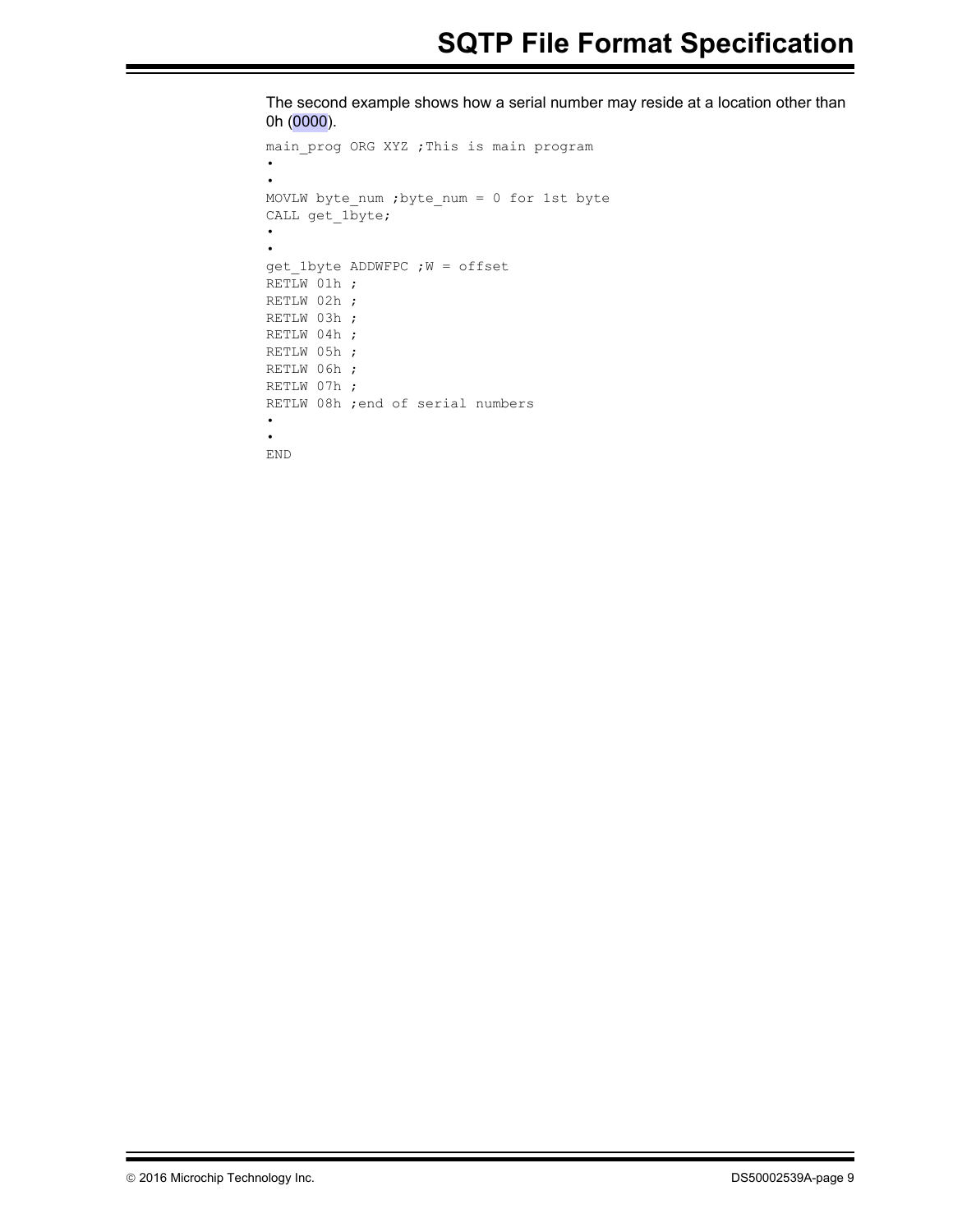The second example shows how a serial number may reside at a location other than 0h (0000).

```
main prog ORG XYZ ;This is main program
•
•
MOVLW byte num ; byte num = 0 for 1st byte
CALL get_1byte;
•
•
get_1byte ADDWFPC ;W = offset
RETLW 01h ;
RETLW 02h ;
RETLW 03h ;
RETLW 04h ;
RETLW 05h ;
RETLW 06h ;
RETLW 07h ;
RETLW 08h ;end of serial numbers
•
•
END
```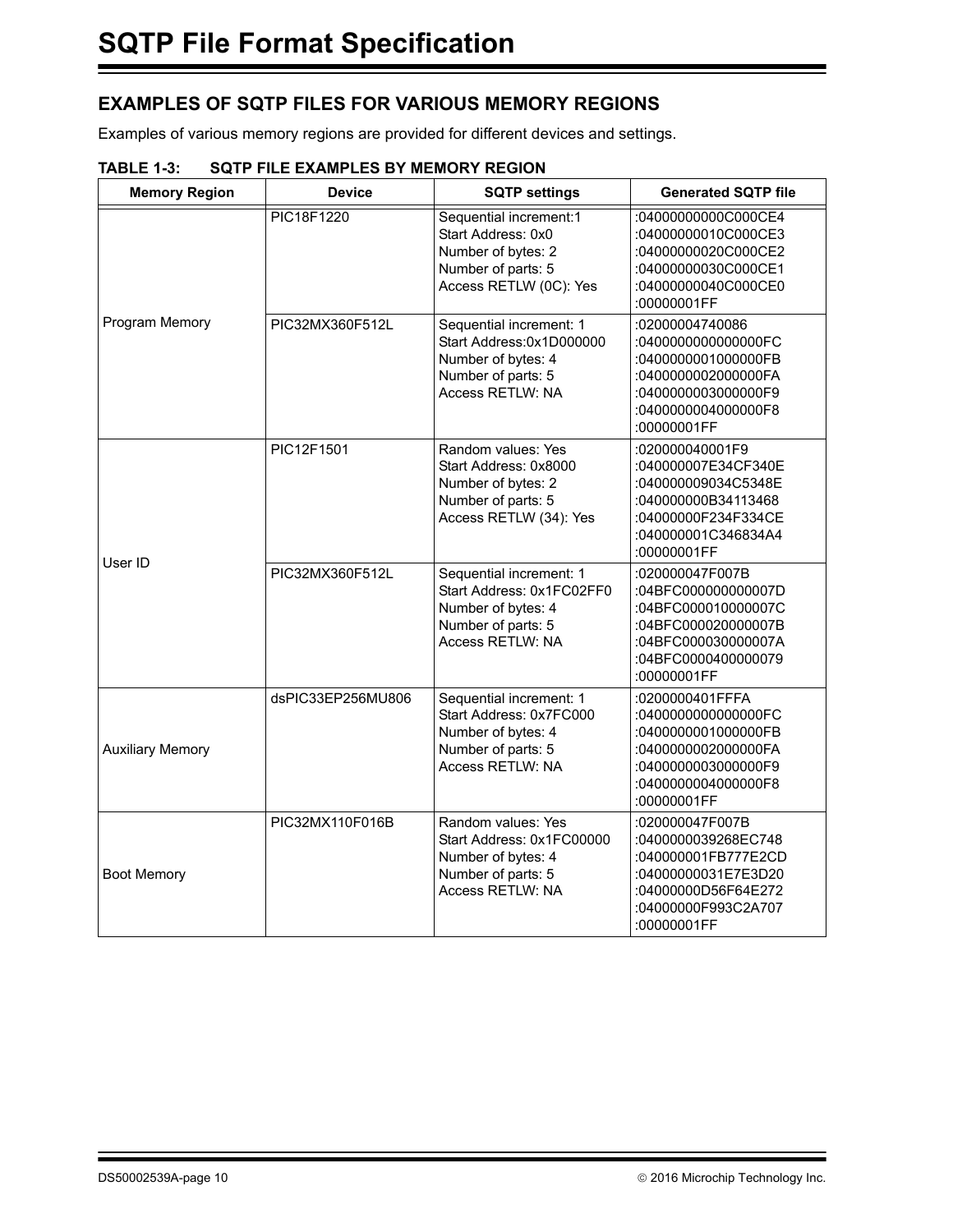## <span id="page-9-0"></span>**EXAMPLES OF SQTP FILES FOR VARIOUS MEMORY REGIONS**

Examples of various memory regions are provided for different devices and settings.

| <b>Memory Region</b>    | <b>Device</b>     | <b>SQTP settings</b>                                                                                                        | <b>Generated SQTP file</b>                                                                                                                        |
|-------------------------|-------------------|-----------------------------------------------------------------------------------------------------------------------------|---------------------------------------------------------------------------------------------------------------------------------------------------|
|                         | PIC18F1220        | Sequential increment:1<br>Start Address: 0x0<br>Number of bytes: 2<br>Number of parts: 5<br>Access RETLW (0C): Yes          | :04000000000C000CE4<br>:04000000010C000CE3<br>:04000000020C000CE2<br>:04000000030C000CE1<br>:04000000040C000CE0<br>:00000001FF                    |
| Program Memory          | PIC32MX360F512L   | Sequential increment: 1<br>Start Address:0x1D000000<br>Number of bytes: 4<br>Number of parts: 5<br><b>Access RETLW: NA</b>  | :02000004740086<br>:040000000000000FC<br>:0400000001000000FB<br>:0400000002000000FA<br>:0400000003000000F9<br>:0400000004000000F8<br>:00000001FF  |
| User ID                 | PIC12F1501        | Random values: Yes<br>Start Address: 0x8000<br>Number of bytes: 2<br>Number of parts: 5<br>Access RETLW (34): Yes           | :020000040001F9<br>:040000007E34CF340E<br>:040000009034C5348E<br>:040000000B34113468<br>:04000000F234F334CE<br>:040000001C346834A4<br>:00000001FF |
|                         | PIC32MX360F512L   | Sequential increment: 1<br>Start Address: 0x1FC02FF0<br>Number of bytes: 4<br>Number of parts: 5<br><b>Access RETLW: NA</b> | :020000047F007B<br>:04BFC000000000007D<br>:04BFC000010000007C<br>:04BFC000020000007B<br>:04BFC000030000007A<br>:04BFC0000400000079<br>:00000001FF |
| <b>Auxiliary Memory</b> | dsPIC33EP256MU806 | Sequential increment: 1<br>Start Address: 0x7FC000<br>Number of bytes: 4<br>Number of parts: 5<br>Access RETLW: NA          | :0200000401FFFA<br>:040000000000000FC<br>:0400000001000000FB<br>:0400000002000000FA<br>:0400000003000000F9<br>:0400000004000000F8<br>:00000001FF  |
| <b>Boot Memory</b>      | PIC32MX110F016B   | Random values: Yes<br>Start Address: 0x1FC00000<br>Number of bytes: 4<br>Number of parts: 5<br><b>Access RETLW: NA</b>      | :020000047F007B<br>:0400000039268EC748<br>:040000001FB777E2CD<br>:04000000031E7E3D20<br>:04000000D56F64E272<br>:04000000F993C2A707<br>:00000001FF |

## **TABLE 1-3: SQTP FILE EXAMPLES BY MEMORY REGION**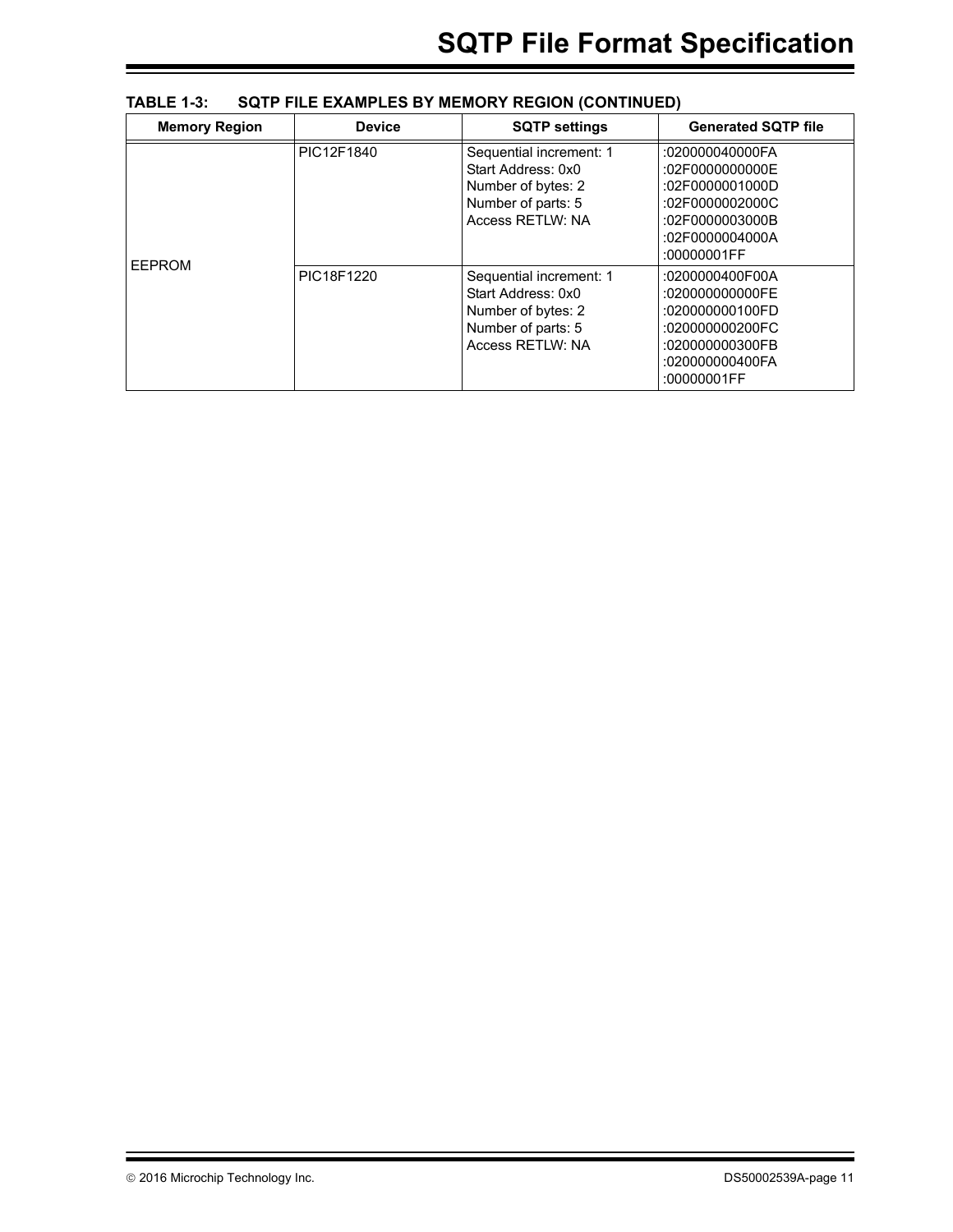| <b>Memory Region</b> | <b>Device</b> | <b>SQTP settings</b>                                                                                                 | <b>Generated SQTP file</b>                                                                                                    |
|----------------------|---------------|----------------------------------------------------------------------------------------------------------------------|-------------------------------------------------------------------------------------------------------------------------------|
|                      | PIC12F1840    | Sequential increment: 1<br>Start Address: 0x0<br>Number of bytes: 2<br>Number of parts: 5<br><b>Access RETLW: NA</b> | :020000040000FA<br>:02F0000000000E<br>:02F0000001000D<br>:02F0000002000C<br>:02F0000003000B<br>:02F0000004000A<br>:00000001FF |
| EEPROM               | PIC18F1220    | Sequential increment: 1<br>Start Address: 0x0<br>Number of bytes: 2<br>Number of parts: 5<br><b>Access RETLW: NA</b> | :0200000400F00A<br>:020000000000FE<br>:020000000100FD<br>:020000000200FC<br>:020000000300FB<br>:020000000400FA<br>:00000001FF |

| SQTP FILE EXAMPLES BY MEMORY REGION (CONTINUED)<br><b>TABLE 1-3:</b> |  |
|----------------------------------------------------------------------|--|
|----------------------------------------------------------------------|--|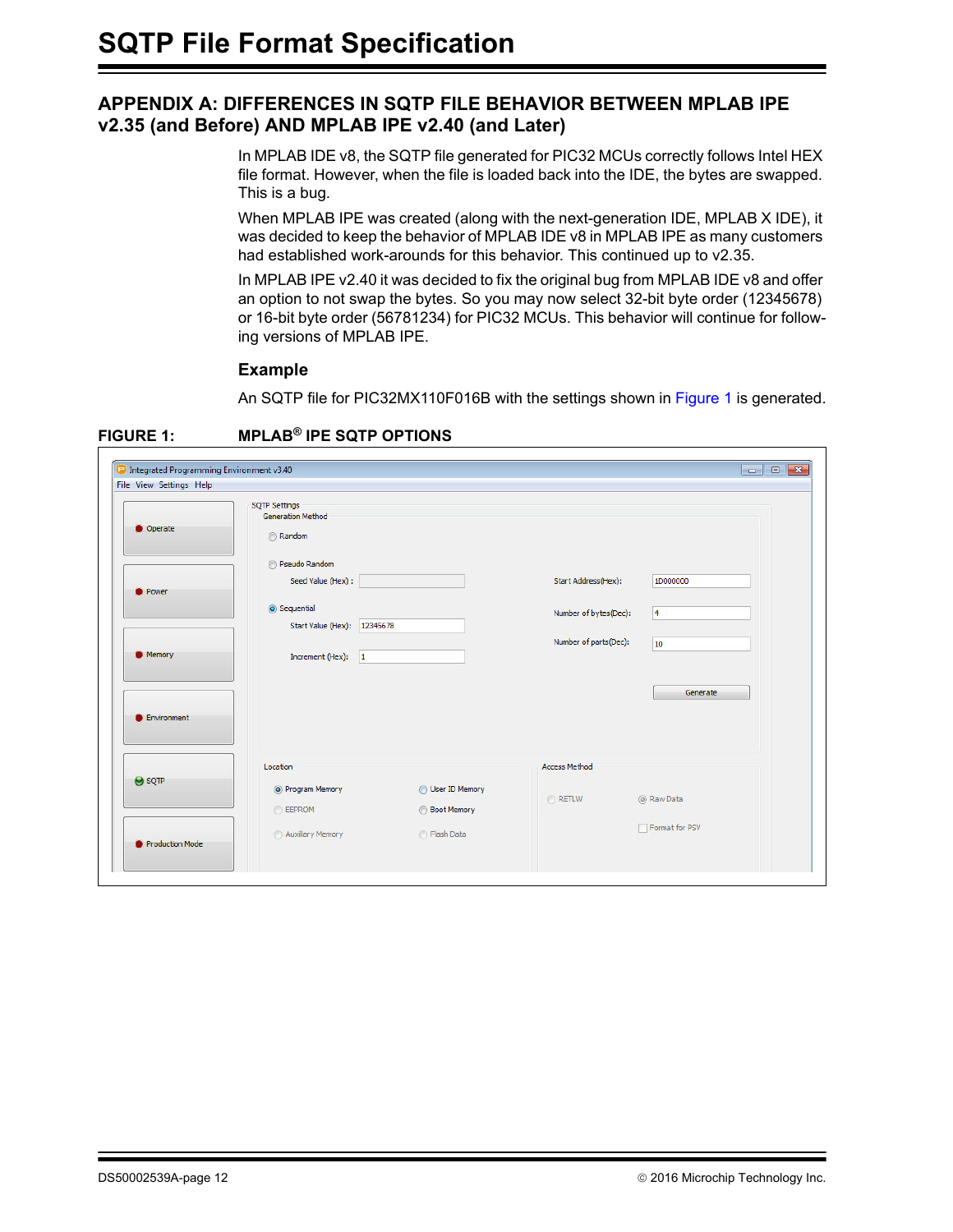## <span id="page-11-0"></span>**APPENDIX A: DIFFERENCES IN SQTP FILE BEHAVIOR BETWEEN MPLAB IPE v2.35 (and Before) AND MPLAB IPE v2.40 (and Later)**

In MPLAB IDE v8, the SQTP file generated for PIC32 MCUs correctly follows Intel HEX file format. However, when the file is loaded back into the IDE, the bytes are swapped. This is a bug.

When MPLAB IPE was created (along with the next-generation IDE, MPLAB X IDE), it was decided to keep the behavior of MPLAB IDE v8 in MPLAB IPE as many customers had established work-arounds for this behavior. This continued up to v2.35.

In MPLAB IPE v2.40 it was decided to fix the original bug from MPLAB IDE v8 and offer an option to not swap the bytes. So you may now select 32-bit byte order (12345678) or 16-bit byte order (56781234) for PIC32 MCUs. This behavior will continue for following versions of MPLAB IPE.

## **Example**

An SQTP file for PIC32MX110F016B with the settings shown in [Figure 1](#page-11-1) is generated.

|                      | <b>SQTP Settings</b><br><b>Generation Method</b> |                       |                 |
|----------------------|--------------------------------------------------|-----------------------|-----------------|
| Operate              | Random                                           |                       |                 |
|                      | <b>Pseudo Random</b>                             |                       |                 |
| <b>O</b> Power       | Seed Value (Hex) :                               | Start Address(Hex):   | 1D000000        |
|                      | Sequential<br>Start Value (Hex): 12345678        | Number of bytes(Dec): | $\vert 4 \vert$ |
|                      |                                                  | Number of parts(Dec): | 10              |
| Memory               | Increment (Hex):<br>$\vert$ 1                    |                       |                 |
|                      |                                                  |                       | Generate        |
| <b>C</b> Environment |                                                  |                       |                 |
|                      | Location                                         | <b>Access Method</b>  |                 |
|                      |                                                  |                       |                 |
| $\Theta$ sqTP        | O Program Memory<br>User ID Memory               |                       |                 |
|                      | <b>EEPROM</b><br><b>Boot Memory</b>              | RETLW                 | @ Raw Data      |

## <span id="page-11-1"></span>**FIGURE 1: MPLAB® IPE SQTP OPTIONS**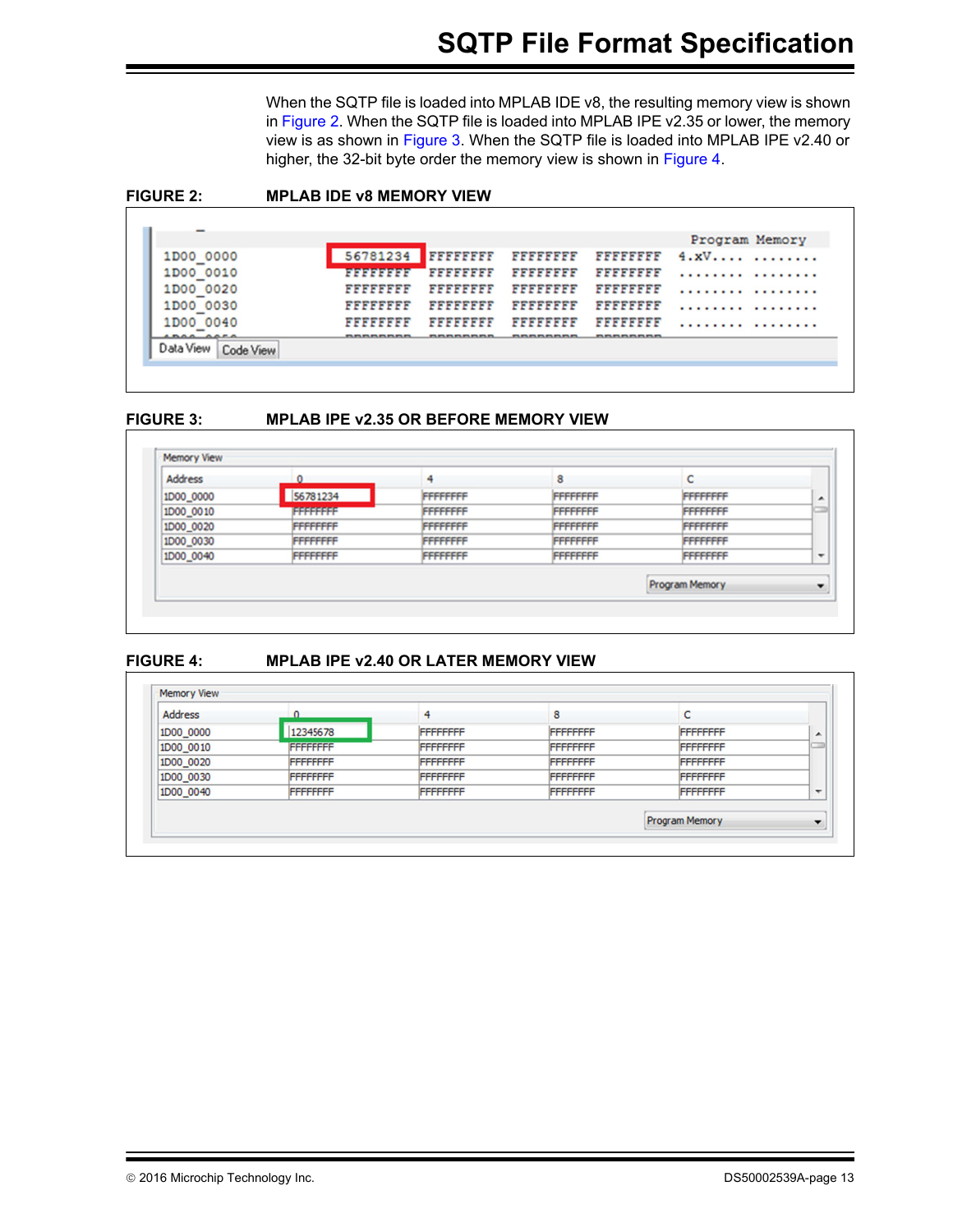When the SQTP file is loaded into MPLAB IDE v8, the resulting memory view is shown in [Figure 2.](#page-12-0) When the SQTP file is loaded into MPLAB IPE v2.35 or lower, the memory view is as shown in [Figure 3.](#page-12-1) When the SQTP file is loaded into MPLAB IPE v2.40 or higher, the 32-bit byte order the memory view is shown in [Figure 4](#page-12-2).

#### <span id="page-12-0"></span>**FIGURE 2: MPLAB IDE v8 MEMORY VIEW**

| 1D00 0000              |                                            | 56781234 FFFFFFFF FFFFFFFF FFFFFFFF |                                        |                                             | 4. xV |  |
|------------------------|--------------------------------------------|-------------------------------------|----------------------------------------|---------------------------------------------|-------|--|
| 1D00 0010              | <b>REEEEEEEE</b>                           | FFFFFFFF FFFFFFFF                   |                                        | FFFFFFFFF                                   |       |  |
| 1D00 0020              | FFFFFFFF                                   | FFFFFFFFF                           | FFFFFFFFF                              | FFFFFFFFF                                   |       |  |
| 1D00 0030              | FFFFFFFFF                                  | FFFFFFFFF                           | FFFFFFFFF                              | FFFFFFFFF                                   |       |  |
| 1D00 0040              | FFFFFFFFF                                  | FFFFFFFFF                           | <b>FFFFFFFFF</b>                       | FFFFFFFFF                                   |       |  |
| LBAA AAFA<br>Data View | <b>WIL WIL WIL WIL WIL WIL WIL WIL WIL</b> | and are and are and are             | <b><i><u><u>BRANDAMENT</u></u></i></b> | <b><i><u><u><u>mmmmmmm</u>m</u></u></i></b> |       |  |

### <span id="page-12-1"></span>**FIGURE 3: MPLAB IPE v2.35 OR BEFORE MEMORY VIEW**

| Address   |                 |                  | 8                | ◡                |                          |
|-----------|-----------------|------------------|------------------|------------------|--------------------------|
| 1D00_0000 | 56781234        | FFFFFFFF         | FFFFFFFF         | FFFFFFFF         | ۸                        |
| 1D00_0010 | <b>FFFFFFFF</b> | FFFFFFFF         | FFFFFFFF         | <b>FFFFFFFFF</b> | <b>CONTRACTOR</b><br>ست  |
| 1D00_0020 | FFFFFFFF        | FFFFFFFF         | <b>FFFFFFFFF</b> | FFFFFFFF         |                          |
| 1D00_0030 | FFFFFFFF        | FFFFFFFF         | <b>FFFFFFFFF</b> | <b>FFFFFFFFF</b> |                          |
| 1D00_0040 | FFFFFFFF        | <b>FFFFFFFFF</b> | <b>FFFFFFFFF</b> | FFFFFFFF         | $\overline{\phantom{a}}$ |

#### <span id="page-12-2"></span>**FIGURE 4: MPLAB IPE v2.40 OR LATER MEMORY VIEW**

| <b>Address</b> |                  | 4                | 8                | ◡                |                          |
|----------------|------------------|------------------|------------------|------------------|--------------------------|
| 1D00_0000      | 12345678         | <b>FFFFFFFFF</b> | <b>FFFFFFFFF</b> | <b>FFFFFFFFF</b> | ▲                        |
| 1D00 0010      | <b>FFFFFFFFF</b> | <b>FFFFFFFFF</b> | <b>FFFFFFFFF</b> | <b>FFFFFFFF</b>  | _<br>--                  |
| 1D00_0020      | FFFFFFFF         | FFFFFFFF         | FFFFFFFF         | <b>FFFFFFFFF</b> |                          |
| 1D00 0030      | FFFFFFFF         | FFFFFFFF         | <b>FFFFFFFFF</b> | <b>FFFFFFFFF</b> |                          |
| 1D00_0040      | <b>FFFFFFFFF</b> | FFFFFFFF         | <b>FFFFFFFFF</b> | <b>FFFFFFFFF</b> | $\overline{\phantom{0}}$ |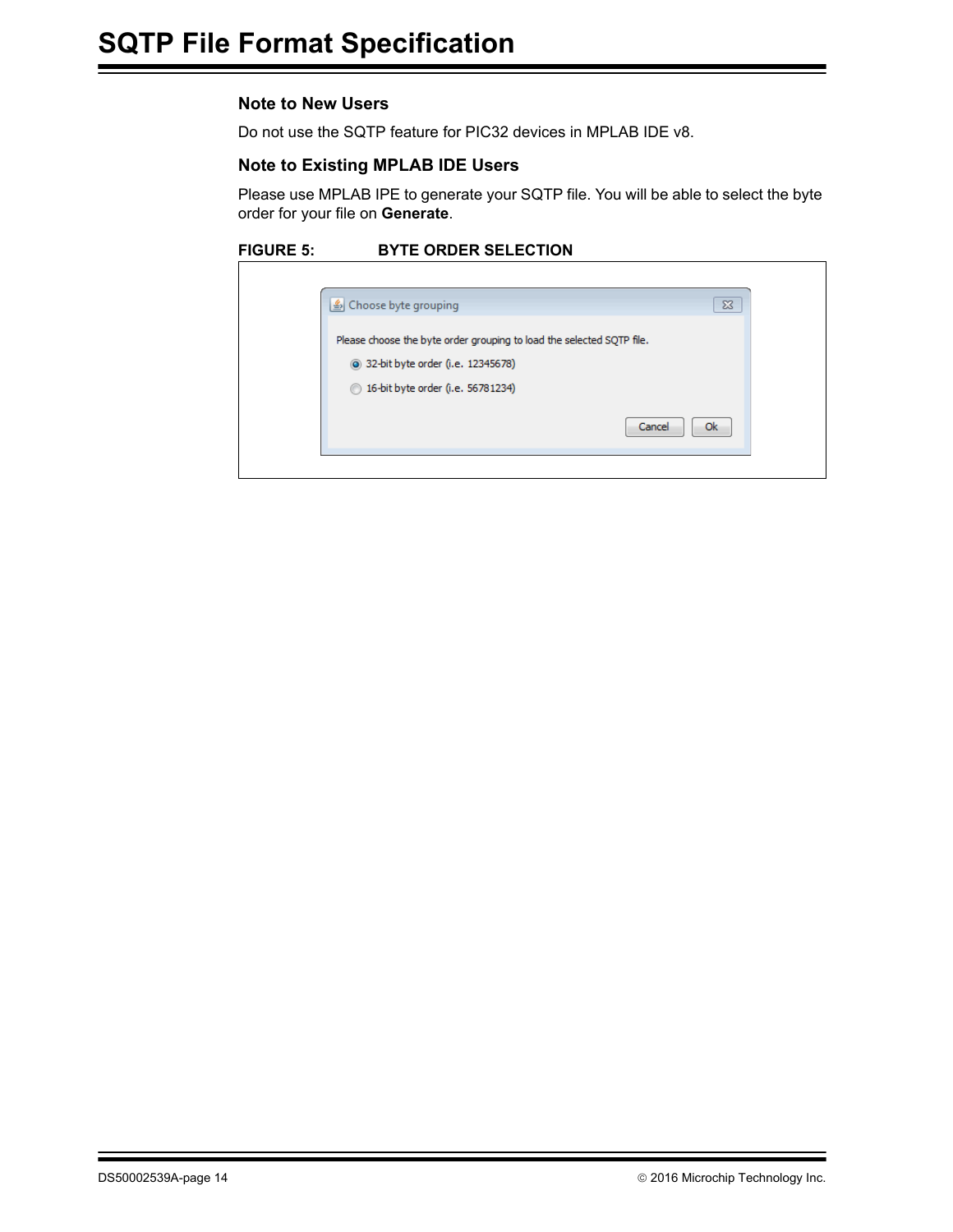## **Note to New Users**

Do not use the SQTP feature for PIC32 devices in MPLAB IDE v8.

### **Note to Existing MPLAB IDE Users**

Please use MPLAB IPE to generate your SQTP file. You will be able to select the byte order for your file on **Generate**.

### **FIGURE 5: BYTE ORDER SELECTION**

| Choose byte grouping                                                  | $\Sigma$     |
|-----------------------------------------------------------------------|--------------|
| Please choose the byte order grouping to load the selected SQTP file. |              |
| 32-bit byte order (i.e. 12345678)                                     |              |
| 16-bit byte order (i.e. 56781234)                                     |              |
|                                                                       | Cancel<br>Ok |
|                                                                       |              |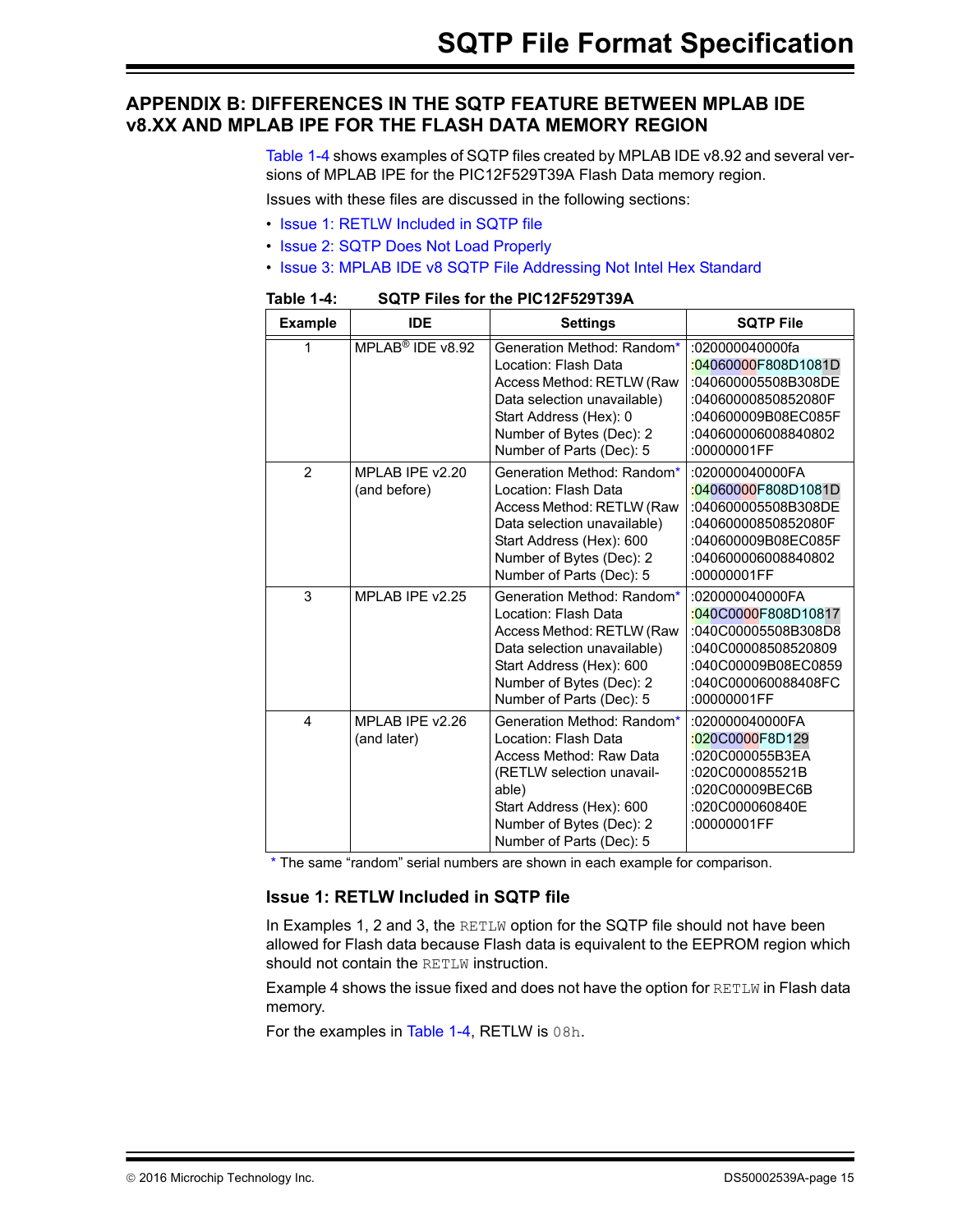## <span id="page-14-0"></span>**APPENDIX B: DIFFERENCES IN THE SQTP FEATURE BETWEEN MPLAB IDE v8.XX AND MPLAB IPE FOR THE FLASH DATA MEMORY REGION**

[Table 1-4](#page-14-1) shows examples of SQTP files created by MPLAB IDE v8.92 and several versions of MPLAB IPE for the PIC12F529T39A Flash Data memory region.

Issues with these files are discussed in the following sections:

- [Issue 1: RETLW Included in SQTP file](#page-14-2)
- [Issue 2: SQTP Does Not Load Properly](#page-15-0)
- [Issue 3: MPLAB IDE v8 SQTP File Addressing Not Intel Hex Standard](#page-15-1)

| <b>Example</b> | <b>IDE</b>                      | <b>Settings</b>                                                                                                                                                                                         | <b>SQTP File</b>                                                                                                                                  |
|----------------|---------------------------------|---------------------------------------------------------------------------------------------------------------------------------------------------------------------------------------------------------|---------------------------------------------------------------------------------------------------------------------------------------------------|
|                | MPI AB <sup>®</sup> IDF v8.92   | Generation Method: Random*<br>Location: Flash Data<br>Access Method: RETLW (Raw<br>Data selection unavailable)<br>Start Address (Hex): 0<br>Number of Bytes (Dec): 2<br>Number of Parts (Dec): 5        | :020000040000fa<br>:04060000F808D1081D<br>:040600005508B308DE<br>:04060000850852080F<br>:040600009B08EC085F<br>:040600006008840802<br>:00000001FF |
| $\overline{2}$ | MPLAB IPE v2.20<br>(and before) | Generation Method: Random*<br>Location: Flash Data<br>Access Method: RETLW (Raw<br>Data selection unavailable)<br>Start Address (Hex): 600<br>Number of Bytes (Dec): 2<br>Number of Parts (Dec): 5      | :020000040000FA<br>:04060000F808D1081D<br>:040600005508B308DE<br>:04060000850852080F<br>:040600009B08EC085F<br>:040600006008840802<br>:00000001FF |
| 3              | MPLAB IPE v2.25                 | Generation Method: Random*<br>Location: Flash Data<br>Access Method: RETLW (Raw<br>Data selection unavailable)<br>Start Address (Hex): 600<br>Number of Bytes (Dec): 2<br>Number of Parts (Dec): 5      | :020000040000FA<br>:040C0000F808D10817<br>:040C00005508B308D8<br>:040C00008508520809<br>:040C00009B08EC0859<br>:040C000060088408FC<br>:00000001FF |
| 4              | MPLAB IPE v2.26<br>(and later)  | Generation Method: Random*<br>Location: Flash Data<br>Access Method: Raw Data<br>(RETLW selection unavail-<br>able)<br>Start Address (Hex): 600<br>Number of Bytes (Dec): 2<br>Number of Parts (Dec): 5 | :020000040000FA<br>:020C0000F8D129<br>:020C000055B3EA<br>:020C000085521B<br>:020C00009BEC6B<br>:020C000060840E<br>:00000001FF                     |

#### <span id="page-14-1"></span>**Table 1-4: SQTP Files for the PIC12F529T39A**

\* The same "random" serial numbers are shown in each example for comparison.

#### <span id="page-14-2"></span>**Issue 1: RETLW Included in SQTP file**

In Examples 1, 2 and 3, the RETLW option for the SQTP file should not have been allowed for Flash data because Flash data is equivalent to the EEPROM region which should not contain the RETLW instruction.

Example 4 shows the issue fixed and does not have the option for RETLW in Flash data memory.

For the examples in [Table 1-4,](#page-14-1) RETLW is 08h.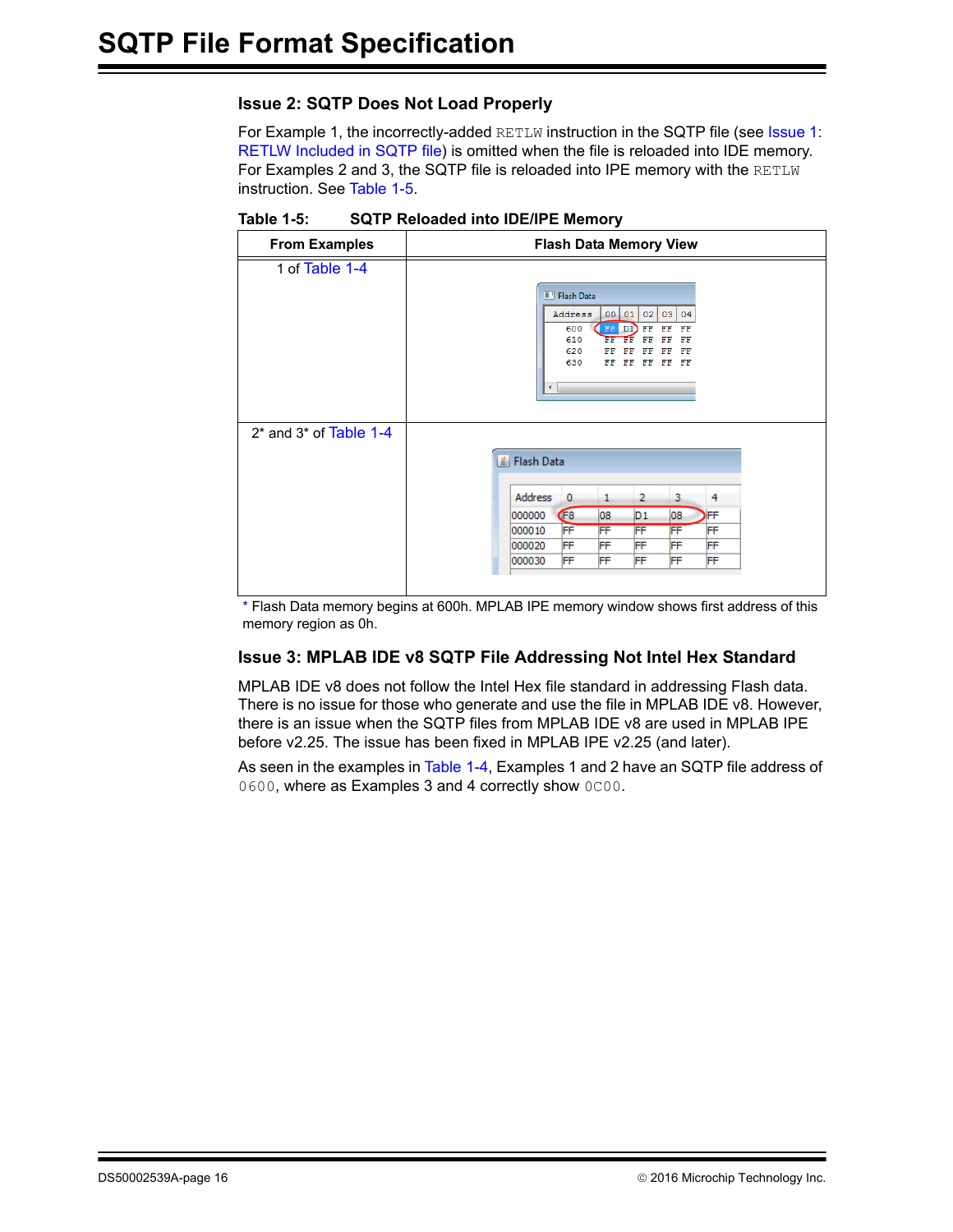## <span id="page-15-0"></span>**Issue 2: SQTP Does Not Load Properly**

For Example 1, the incorrectly-added RETLW instruction in the SQTP file (see Issue 1: [RETLW Included in SQTP file\)](#page-14-2) is omitted when the file is reloaded into IDE memory. For Examples 2 and 3, the SQTP file is reloaded into IPE memory with the RETLW instruction. See [Table 1-5.](#page-15-2)

| <b>From Examples</b>         | <b>Flash Data Memory View</b>                                                                                                                                                                                                                                  |  |  |
|------------------------------|----------------------------------------------------------------------------------------------------------------------------------------------------------------------------------------------------------------------------------------------------------------|--|--|
| 1 of Table 1-4               | <b>E.</b> Flash Data<br>Address<br>00   01   02  <br>03   04<br>F8 D1) FF<br>600<br>$\mathbf{FF}$<br>$\mathbf{FF}$<br>FF<br>610<br>FF<br>FF<br>FF<br>620<br>FF<br>FF<br>FF<br>FF<br>630<br>FF FF FF FF FF<br>$\overline{\phantom{a}}$                          |  |  |
| $2^*$ and $3^*$ of Table 1-4 | <b>名 Flash Data</b><br>Address<br>$\circ$<br>2<br>3<br>4<br>1<br>Œ8<br>08<br>D <sub>1</sub><br>FF<br>08<br>000000<br><b>FF</b><br>000010<br><b>FF</b><br>FF<br><b>FF</b><br>FF<br>FF<br>FF<br>000020<br>FF<br>FF<br>FF<br>FF<br>FF<br>FF<br>000030<br>FF<br>FF |  |  |

<span id="page-15-2"></span>**Table 1-5: SQTP Reloaded into IDE/IPE Memory**

\* Flash Data memory begins at 600h. MPLAB IPE memory window shows first address of this memory region as 0h.

## <span id="page-15-1"></span>**Issue 3: MPLAB IDE v8 SQTP File Addressing Not Intel Hex Standard**

MPLAB IDE v8 does not follow the Intel Hex file standard in addressing Flash data. There is no issue for those who generate and use the file in MPLAB IDE v8. However, there is an issue when the SQTP files from MPLAB IDE v8 are used in MPLAB IPE before v2.25. The issue has been fixed in MPLAB IPE v2.25 (and later).

As seen in the examples in [Table 1-4,](#page-14-1) Examples 1 and 2 have an SQTP file address of 0600, where as Examples 3 and 4 correctly show 0C00.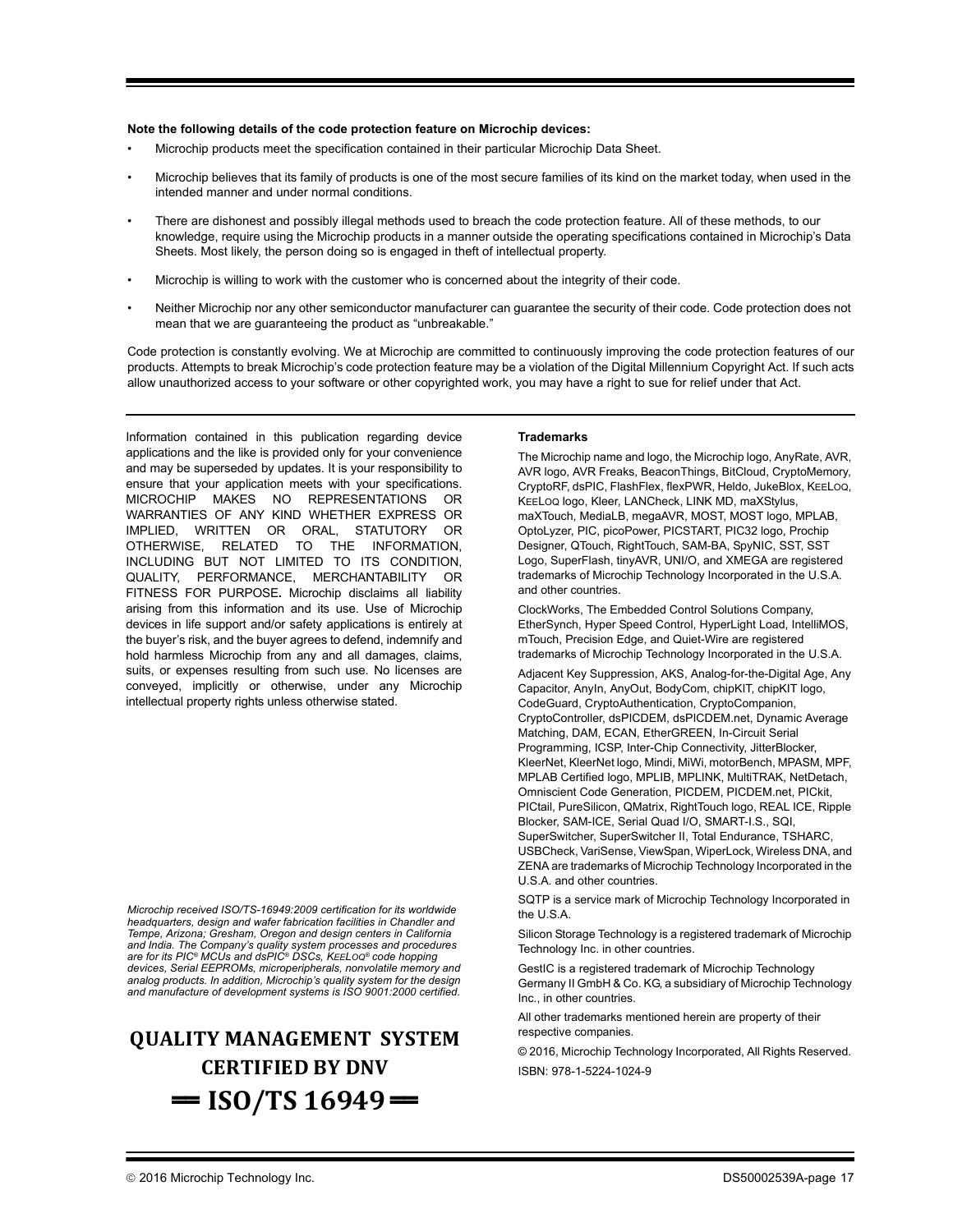#### **Note the following details of the code protection feature on Microchip devices:**

- Microchip products meet the specification contained in their particular Microchip Data Sheet.
- Microchip believes that its family of products is one of the most secure families of its kind on the market today, when used in the intended manner and under normal conditions.
- There are dishonest and possibly illegal methods used to breach the code protection feature. All of these methods, to our knowledge, require using the Microchip products in a manner outside the operating specifications contained in Microchip's Data Sheets. Most likely, the person doing so is engaged in theft of intellectual property.
- Microchip is willing to work with the customer who is concerned about the integrity of their code.
- Neither Microchip nor any other semiconductor manufacturer can guarantee the security of their code. Code protection does not mean that we are guaranteeing the product as "unbreakable."

Code protection is constantly evolving. We at Microchip are committed to continuously improving the code protection features of our products. Attempts to break Microchip's code protection feature may be a violation of the Digital Millennium Copyright Act. If such acts allow unauthorized access to your software or other copyrighted work, you may have a right to sue for relief under that Act.

Information contained in this publication regarding device applications and the like is provided only for your convenience and may be superseded by updates. It is your responsibility to ensure that your application meets with your specifications. MICROCHIP MAKES NO REPRESENTATIONS OR WARRANTIES OF ANY KIND WHETHER EXPRESS OR IMPLIED, WRITTEN OR ORAL, STATUTORY OR OTHERWISE, RELATED TO THE INFORMATION, INCLUDING BUT NOT LIMITED TO ITS CONDITION, QUALITY, PERFORMANCE, MERCHANTABILITY OR FITNESS FOR PURPOSE**.** Microchip disclaims all liability arising from this information and its use. Use of Microchip devices in life support and/or safety applications is entirely at the buyer's risk, and the buyer agrees to defend, indemnify and hold harmless Microchip from any and all damages, claims, suits, or expenses resulting from such use. No licenses are conveyed, implicitly or otherwise, under any Microchip intellectual property rights unless otherwise stated.

*Microchip received ISO/TS-16949:2009 certification for its worldwide headquarters, design and wafer fabrication facilities in Chandler and Tempe, Arizona; Gresham, Oregon and design centers in California and India. The Company's quality system processes and procedures are for its PIC® MCUs and dsPIC® DSCs, KEELOQ® code hopping devices, Serial EEPROMs, microperipherals, nonvolatile memory and analog products. In addition, Microchip's quality system for the design and manufacture of development systems is ISO 9001:2000 certified.*

# **QUALITY MANAGEMENT SYSTEM CERTIFIED BY DNV**  $=$  **ISO/TS** 16949 $=$

#### **Trademarks**

The Microchip name and logo, the Microchip logo, AnyRate, AVR, AVR logo, AVR Freaks, BeaconThings, BitCloud, CryptoMemory, CryptoRF, dsPIC, FlashFlex, flexPWR, Heldo, JukeBlox, KEELOQ, KEELOQ logo, Kleer, LANCheck, LINK MD, maXStylus, maXTouch, MediaLB, megaAVR, MOST, MOST logo, MPLAB, OptoLyzer, PIC, picoPower, PICSTART, PIC32 logo, Prochip Designer, QTouch, RightTouch, SAM-BA, SpyNIC, SST, SST Logo, SuperFlash, tinyAVR, UNI/O, and XMEGA are registered trademarks of Microchip Technology Incorporated in the U.S.A. and other countries.

ClockWorks, The Embedded Control Solutions Company, EtherSynch, Hyper Speed Control, HyperLight Load, IntelliMOS, mTouch, Precision Edge, and Quiet-Wire are registered trademarks of Microchip Technology Incorporated in the U.S.A.

Adjacent Key Suppression, AKS, Analog-for-the-Digital Age, Any Capacitor, AnyIn, AnyOut, BodyCom, chipKIT, chipKIT logo, CodeGuard, CryptoAuthentication, CryptoCompanion, CryptoController, dsPICDEM, dsPICDEM.net, Dynamic Average Matching, DAM, ECAN, EtherGREEN, In-Circuit Serial Programming, ICSP, Inter-Chip Connectivity, JitterBlocker, KleerNet, KleerNet logo, Mindi, MiWi, motorBench, MPASM, MPF, MPLAB Certified logo, MPLIB, MPLINK, MultiTRAK, NetDetach, Omniscient Code Generation, PICDEM, PICDEM.net, PICkit, PICtail, PureSilicon, QMatrix, RightTouch logo, REAL ICE, Ripple Blocker, SAM-ICE, Serial Quad I/O, SMART-I.S., SQI, SuperSwitcher, SuperSwitcher II, Total Endurance, TSHARC, USBCheck, VariSense, ViewSpan, WiperLock, Wireless DNA, and ZENA are trademarks of Microchip Technology Incorporated in the U.S.A. and other countries.

SQTP is a service mark of Microchip Technology Incorporated in the U.S.A.

Silicon Storage Technology is a registered trademark of Microchip Technology Inc. in other countries.

GestIC is a registered trademark of Microchip Technology Germany II GmbH & Co. KG, a subsidiary of Microchip Technology Inc., in other countries.

All other trademarks mentioned herein are property of their respective companies.

© 2016, Microchip Technology Incorporated, All Rights Reserved. ISBN: 978-1-5224-1024-9